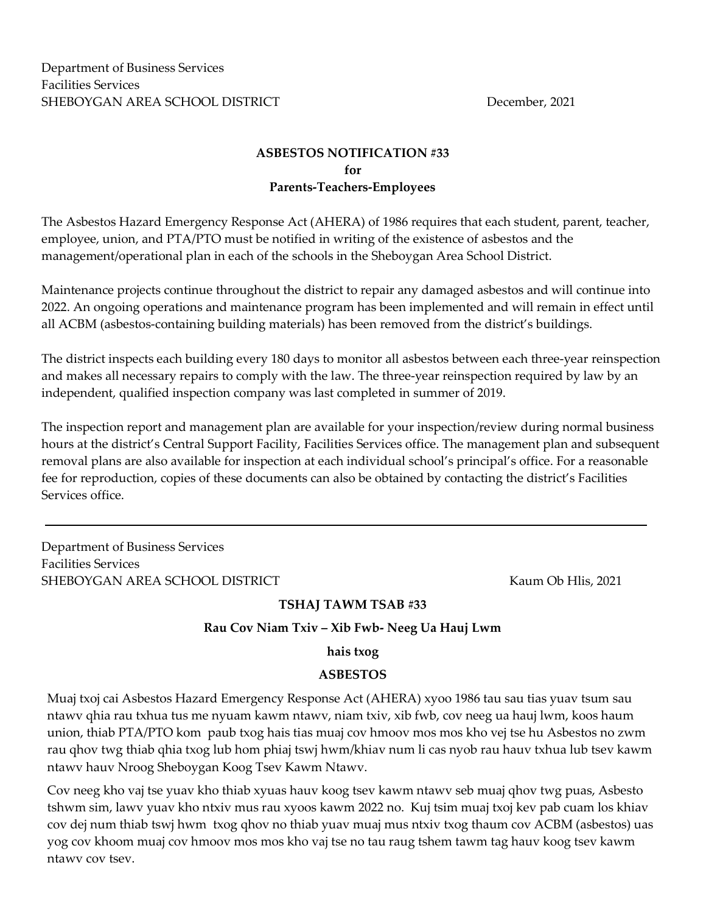Department of Business Services Facilities Services SHEBOYGAN AREA SCHOOL DISTRICT **Example 2021** December, 2021

# ASBESTOS NOTIFICATION #33 for Parents-Teachers-Employees

The Asbestos Hazard Emergency Response Act (AHERA) of 1986 requires that each student, parent, teacher, employee, union, and PTA/PTO must be notified in writing of the existence of asbestos and the management/operational plan in each of the schools in the Sheboygan Area School District.

Maintenance projects continue throughout the district to repair any damaged asbestos and will continue into 2022. An ongoing operations and maintenance program has been implemented and will remain in effect until all ACBM (asbestos-containing building materials) has been removed from the district's buildings.

The district inspects each building every 180 days to monitor all asbestos between each three-year reinspection and makes all necessary repairs to comply with the law. The three-year reinspection required by law by an independent, qualified inspection company was last completed in summer of 2019.

The inspection report and management plan are available for your inspection/review during normal business hours at the district's Central Support Facility, Facilities Services office. The management plan and subsequent removal plans are also available for inspection at each individual school's principal's office. For a reasonable fee for reproduction, copies of these documents can also be obtained by contacting the district's Facilities Services office.

Department of Business Services Facilities Services SHEBOYGAN AREA SCHOOL DISTRICT **Kaum Ob His, 2021** 

## TSHAJ TAWM TSAB #33

#### Rau Cov Niam Txiv – Xib Fwb- Neeg Ua Hauj Lwm

#### hais txog

## ASBESTOS

Muaj txoj cai Asbestos Hazard Emergency Response Act (AHERA) xyoo 1986 tau sau tias yuav tsum sau ntawv qhia rau txhua tus me nyuam kawm ntawv, niam txiv, xib fwb, cov neeg ua hauj lwm, koos haum union, thiab PTA/PTO kom paub txog hais tias muaj cov hmoov mos mos kho vej tse hu Asbestos no zwm rau qhov twg thiab qhia txog lub hom phiaj tswj hwm/khiav num li cas nyob rau hauv txhua lub tsev kawm ntawv hauv Nroog Sheboygan Koog Tsev Kawm Ntawv.

Cov neeg kho vaj tse yuav kho thiab xyuas hauv koog tsev kawm ntawv seb muaj qhov twg puas, Asbesto tshwm sim, lawv yuav kho ntxiv mus rau xyoos kawm 2022 no. Kuj tsim muaj txoj kev pab cuam los khiav cov dej num thiab tswj hwm txog qhov no thiab yuav muaj mus ntxiv txog thaum cov ACBM (asbestos) uas yog cov khoom muaj cov hmoov mos mos kho vaj tse no tau raug tshem tawm tag hauv koog tsev kawm ntawv cov tsev.